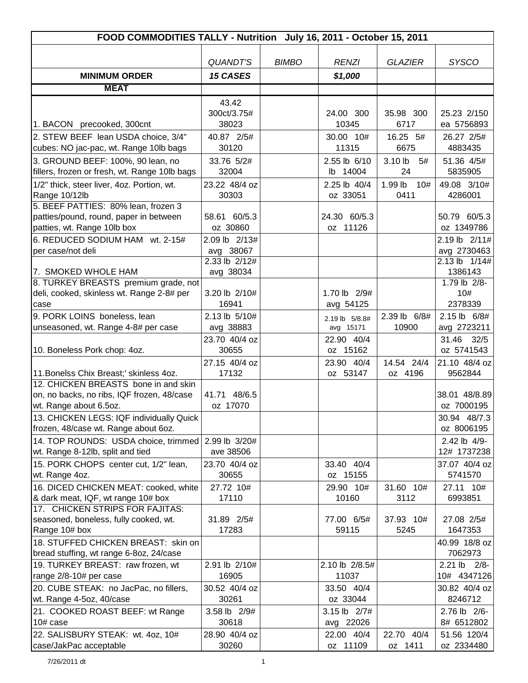| FOOD COMMODITIES TALLY - Nutrition July 16, 2011 - October 15, 2011   |                        |              |                        |                |                          |
|-----------------------------------------------------------------------|------------------------|--------------|------------------------|----------------|--------------------------|
|                                                                       |                        |              |                        |                |                          |
|                                                                       | <b>QUANDT'S</b>        | <b>BIMBO</b> | <b>RENZI</b>           | <b>GLAZIER</b> | <b>SYSCO</b>             |
| <b>MINIMUM ORDER</b>                                                  | <b>15 CASES</b>        |              | \$1,000                |                |                          |
| <b>MEAT</b>                                                           |                        |              |                        |                |                          |
|                                                                       | 43.42                  |              |                        |                |                          |
|                                                                       | 300ct/3.75#            |              | 24.00 300              | 35.98 300      | 25.23 2/150              |
| 1. BACON precooked, 300cnt                                            | 38023                  |              | 10345                  | 6717           | ea 5756893               |
| 2. STEW BEEF lean USDA choice, 3/4"                                   | 40.87 2/5#             |              | 30.00 10#              | 16.25 5#       | 26.27 2/5#               |
| cubes: NO jac-pac, wt. Range 10lb bags                                | 30120                  |              | 11315                  | 6675           | 4883435                  |
| 3. GROUND BEEF: 100%, 90 lean, no                                     | 33.76 5/2#             |              | 2.55 lb 6/10           | 3.10 lb<br>5#  | 51.36 4/5#               |
| fillers, frozen or fresh, wt. Range 10lb bags                         | 32004                  |              | lb 14004               | 24             | 5835905                  |
| 1/2" thick, steer liver, 4oz. Portion, wt.                            | 23.22 48/4 oz          |              | 2.25 lb 40/4           | 1.99 lb<br>10# | 49.08 3/10#              |
| Range 10/12lb<br>5. BEEF PATTIES: 80% lean, frozen 3                  | 30303                  |              | oz 33051               | 0411           | 4286001                  |
| patties/pound, round, paper in between                                | 58.61 60/5.3           |              | 24.30 60/5.3           |                | 50.79 60/5.3             |
| patties, wt. Range 10lb box                                           | oz 30860               |              | oz 11126               |                | oz 1349786               |
| 6. REDUCED SODIUM HAM wt. 2-15#                                       | 2.09 lb 2/13#          |              |                        |                | 2.19 lb 2/11#            |
| per case/not deli                                                     | avg 38067              |              |                        |                | avg 2730463              |
|                                                                       | 2.33 lb 2/12#          |              |                        |                | 2.13 lb 1/14#            |
| 7. SMOKED WHOLE HAM                                                   | avg 38034              |              |                        |                | 1386143                  |
| 8. TURKEY BREASTS premium grade, not                                  |                        |              |                        |                | 1.79 lb 2/8-             |
| deli, cooked, skinless wt. Range 2-8# per                             | 3.20 lb 2/10#          |              | 1.70 lb 2/9#           |                | 10#                      |
| case                                                                  | 16941                  |              | avg 54125              |                | 2378339                  |
| 9. PORK LOINS boneless, lean                                          | 2.13 lb 5/10#          |              | 2.19 lb 5/8.8#         | 2.39 lb 6/8#   | 2.15 lb 6/8#             |
| unseasoned, wt. Range 4-8# per case                                   | avg 38883              |              | avg 15171              | 10900          | avg 2723211              |
| 10. Boneless Pork chop: 4oz.                                          | 23.70 40/4 oz<br>30655 |              | 22.90 40/4<br>oz 15162 |                | 31.46 32/5<br>oz 5741543 |
|                                                                       | 27.15 40/4 oz          |              | 23.90 40/4             | 14.54 24/4     | 21.10 48/4 oz            |
| 11. Bonelss Chix Breast;' skinless 4oz.                               | 17132                  |              | oz 53147               | oz 4196        | 9562844                  |
| 12. CHICKEN BREASTS bone in and skin                                  |                        |              |                        |                |                          |
| on, no backs, no ribs, IQF frozen, 48/case                            | 41.71 48/6.5           |              |                        |                | 38.01 48/8.89            |
| wt. Range about 6.5oz.                                                | oz 17070               |              |                        |                | oz 7000195               |
| 13. CHICKEN LEGS: IQF individually Quick                              |                        |              |                        |                | 30.94 48/7.3             |
| frozen, 48/case wt. Range about 6oz.                                  |                        |              |                        |                | oz 8006195               |
| 14. TOP ROUNDS: USDA choice, trimmed                                  | 2.99 lb 3/20#          |              |                        |                | 2.42 lb 4/9-             |
| wt. Range 8-12lb, split and tied                                      | ave 38506              |              |                        |                | 12# 1737238              |
| 15. PORK CHOPS center cut, 1/2" lean,                                 | 23.70 40/4 oz          |              | 33.40 40/4             |                | 37.07 40/4 oz            |
| wt. Range 4oz.                                                        | 30655                  |              | oz 15155               |                | 5741570                  |
| 16. DICED CHICKEN MEAT: cooked, white                                 | 27.72 10#<br>17110     |              | 29.90 10#<br>10160     | 31.60 10#      | 27.11 10#                |
| & dark meat, IQF, wt range 10# box<br>17. CHICKEN STRIPS FOR FAJITAS: |                        |              |                        | 3112           | 6993851                  |
| seasoned, boneless, fully cooked, wt.                                 | 31.89 2/5#             |              | 77.00 6/5#             | 37.93 10#      | 27.08 2/5#               |
| Range 10# box                                                         | 17283                  |              | 59115                  | 5245           | 1647353                  |
| 18. STUFFED CHICKEN BREAST: skin on                                   |                        |              |                        |                | 40.99 18/8 oz            |
| bread stuffing, wt range 6-8oz, 24/case                               |                        |              |                        |                | 7062973                  |
| 19. TURKEY BREAST: raw frozen, wt                                     | 2.91 lb 2/10#          |              | 2.10 lb 2/8.5#         |                | $2.21$ lb<br>2/8-        |
| range 2/8-10# per case                                                | 16905                  |              | 11037                  |                | 10# 4347126              |
| 20. CUBE STEAK: no JacPac, no fillers,                                | 30.52 40/4 oz          |              | 33.50 40/4             |                | 30.82 40/4 oz            |
| wt. Range 4-5oz, 40/case                                              | 30261                  |              | oz 33044               |                | 8246712                  |
| 21. COOKED ROAST BEEF: wt Range                                       | 3.58 lb 2/9#           |              | 3.15 lb 2/7#           |                | $2.76$ lb $2/6$ -        |
| 10# case                                                              | 30618                  |              | avg 22026              |                | 8# 6512802               |
| 22. SALISBURY STEAK: wt. 4oz, 10#                                     | 28.90 40/4 oz          |              | 22.00 40/4             | 22.70 40/4     | 51.56 120/4              |
| case/JakPac acceptable                                                | 30260                  |              | oz 11109               | oz 1411        | oz 2334480               |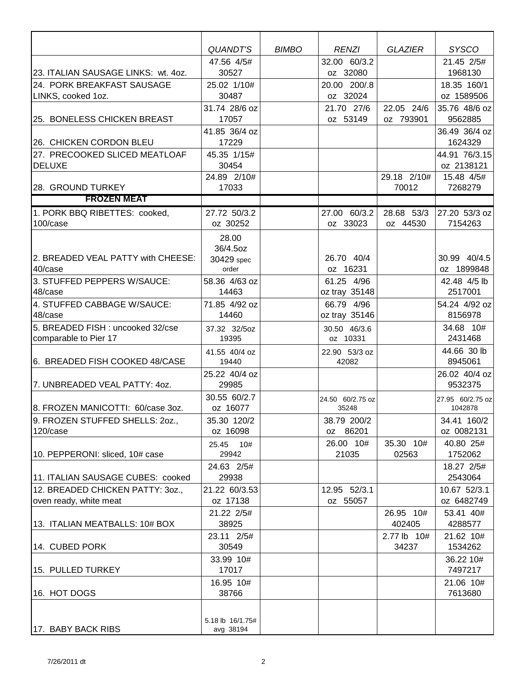|                                           | <b>QUANDT'S</b>          | <b>BIMBO</b> | <b>RENZI</b>                | <b>GLAZIER</b>          | <b>SYSCO</b>                |
|-------------------------------------------|--------------------------|--------------|-----------------------------|-------------------------|-----------------------------|
|                                           | 47.56 4/5#               |              | 32.00 60/3.2                |                         | 21.45 2/5#                  |
| 23. ITALIAN SAUSAGE LINKS: wt. 4oz.       | 30527                    |              | oz 32080                    |                         | 1968130                     |
| 24. PORK BREAKFAST SAUSAGE                | 25.02 1/10#              |              | 20.00 200/.8                |                         | 18.35 160/1                 |
| LINKS, cooked 1oz.                        | 30487                    |              | oz 32024<br>21.70 27/6      |                         | oz 1589506<br>35.76 48/6 oz |
| 25. BONELESS CHICKEN BREAST               | 31.74 28/6 oz<br>17057   |              | oz 53149                    | 22.05 24/6<br>oz 793901 | 9562885                     |
|                                           | 41.85 36/4 oz            |              |                             |                         | 36.49 36/4 oz               |
| 26. CHICKEN CORDON BLEU                   | 17229                    |              |                             |                         | 1624329                     |
| 27. PRECOOKED SLICED MEATLOAF             | 45.35 1/15#              |              |                             |                         | 44.91 76/3.15               |
| <b>DELUXE</b>                             | 30454                    |              |                             |                         | oz 2138121                  |
|                                           | 24.89 2/10#              |              |                             | 29.18 2/10#             | 15.48 4/5#                  |
| 28. GROUND TURKEY<br><b>FROZEN MEAT</b>   | 17033                    |              |                             | 70012                   | 7268279                     |
|                                           |                          |              |                             |                         |                             |
| 1. PORK BBQ RIBETTES: cooked,<br>100/case | 27.72 50/3.2<br>oz 30252 |              | 27.00 60/3.2<br>oz 33023    | 28.68 53/3<br>oz 44530  | 27.20 53/3 oz<br>7154263    |
|                                           | 28.00                    |              |                             |                         |                             |
|                                           | 36/4.5oz                 |              |                             |                         |                             |
| 2. BREADED VEAL PATTY with CHEESE:        | 30429 spec               |              | 26.70 40/4                  |                         | 30.99 40/4.5                |
| 40/case                                   | order                    |              | oz 16231                    |                         | oz 1899848                  |
| 3. STUFFED PEPPERS W/SAUCE:               | 58.36 4/63 oz            |              | 61.25 4/96                  |                         | 42.48 4/5 lb                |
| 48/case<br>4. STUFFED CABBAGE W/SAUCE:    | 14463<br>71.85 4/92 oz   |              | oz tray 35148<br>66.79 4/96 |                         | 2517001<br>54.24 4/92 oz    |
| 48/case                                   | 14460                    |              | oz tray 35146               |                         | 8156978                     |
| 5. BREADED FISH : uncooked 32/cse         | 37.32 32/5oz             |              | 30.50 46/3.6                |                         | 34.68 10#                   |
| comparable to Pier 17                     | 19395                    |              | oz 10331                    |                         | 2431468                     |
|                                           | 41.55 40/4 oz            |              | 22.90 53/3 oz               |                         | 44.66 30 lb                 |
| 6. BREADED FISH COOKED 48/CASE            | 19440                    |              | 42082                       |                         | 8945061                     |
| 7. UNBREADED VEAL PATTY: 40Z.             | 25.22 40/4 oz<br>29985   |              |                             |                         | 26.02 40/4 oz<br>9532375    |
|                                           | 30.55 60/2.7             |              |                             |                         |                             |
| 8. FROZEN MANICOTTI: 60/case 3oz.         | oz 16077                 |              | 24.50 60/2.75 oz<br>35248   |                         | 27.95 60/2.75 oz<br>1042878 |
| 9. FROZEN STUFFED SHELLS: 20Z.,           | 35.30 120/2              |              | 38.79 200/2                 |                         | 34.41 160/2                 |
| 120/case                                  | oz 16098                 |              | oz 86201                    |                         | oz 0082131                  |
|                                           | 25.45 10#                |              | 26.00 10#                   | 35.30 10#               | 40.80 25#                   |
| 10. PEPPERONI: sliced, 10# case           | 29942                    |              | 21035                       | 02563                   | 1752062                     |
| 11. ITALIAN SAUSAGE CUBES: cooked         | 24.63 2/5#<br>29938      |              |                             |                         | 18.27 2/5#<br>2543064       |
| 12. BREADED CHICKEN PATTY: 30Z.,          | 21.22 60/3.53            |              | 12.95 52/3.1                |                         | 10.67 52/3.1                |
| oven ready, white meat                    | oz 17138                 |              | oz 55057                    |                         | oz 6482749                  |
|                                           | 21.22 2/5#               |              |                             | 26.95 10#               | 53.41 40#                   |
| 13. ITALIAN MEATBALLS: 10# BOX            | 38925                    |              |                             | 402405                  | 4288577                     |
|                                           | 23.11 2/5#               |              |                             | 2.77 lb 10#             | 21.62 10#                   |
| 14. CUBED PORK                            | 30549                    |              |                             | 34237                   | 1534262                     |
| 15. PULLED TURKEY                         | 33.99 10#<br>17017       |              |                             |                         | 36.22 10#<br>7497217        |
|                                           | 16.95 10#                |              |                             |                         | 21.06 10#                   |
| 16. HOT DOGS                              | 38766                    |              |                             |                         | 7613680                     |
|                                           |                          |              |                             |                         |                             |
|                                           | 5.18 lb 16/1.75#         |              |                             |                         |                             |
| 17. BABY BACK RIBS                        | avg 38194                |              |                             |                         |                             |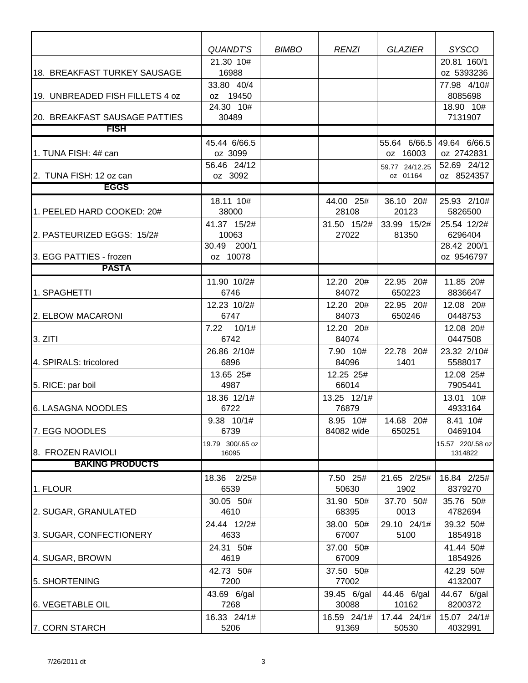|                                 | QUANDT'S                  | <b>BIMBO</b> | <b>RENZI</b>         | <b>GLAZIER</b>       | <b>SYSCO</b>                |
|---------------------------------|---------------------------|--------------|----------------------|----------------------|-----------------------------|
| 18. BREAKFAST TURKEY SAUSAGE    | 21.30 10#<br>16988        |              |                      |                      | 20.81 160/1<br>oz 5393236   |
| 19. UNBREADED FISH FILLETS 4 oz | 33.80 40/4<br>oz 19450    |              |                      |                      | 77.98 4/10#<br>8085698      |
| 20. BREAKFAST SAUSAGE PATTIES   | 24.30 10#<br>30489        |              |                      |                      | 18.90 10#<br>7131907        |
| <b>FISH</b>                     |                           |              |                      |                      |                             |
|                                 | 45.44 6/66.5              |              |                      | 55.64 6/66.5         | 49.64 6/66.5                |
| 1. TUNA FISH: 4# can            | oz 3099                   |              |                      | oz 16003             | oz 2742831                  |
|                                 | 56.46 24/12               |              |                      | 59.77 24/12.25       | 52.69 24/12                 |
| 2. TUNA FISH: 12 oz can         | oz 3092                   |              |                      | oz 01164             | oz 8524357                  |
| <b>EGGS</b>                     |                           |              |                      |                      |                             |
| 1. PEELED HARD COOKED: 20#      | 18.11 10#<br>38000        |              | 44.00 25#<br>28108   | 36.10 20#<br>20123   | 25.93 2/10#<br>5826500      |
|                                 | 41.37 15/2#               |              | 31.50 15/2#          | 33.99 15/2#          | 25.54 12/2#                 |
| 2. PASTEURIZED EGGS: 15/2#      | 10063                     |              | 27022                | 81350                | 6296404                     |
|                                 | 30.49 200/1               |              |                      |                      | 28.42 200/1                 |
| 3. EGG PATTIES - frozen         | oz 10078                  |              |                      |                      | oz 9546797                  |
| <b>PASTA</b>                    |                           |              |                      |                      |                             |
| 1. SPAGHETTI                    | 11.90 10/2#<br>6746       |              | 12.20 20#<br>84072   | 22.95 20#            | 11.85 20#<br>8836647        |
|                                 | 12.23 10/2#               |              |                      | 650223<br>22.95 20#  | 12.08 20#                   |
| 2. ELBOW MACARONI               | 6747                      |              | 12.20 20#<br>84073   | 650246               | 0448753                     |
|                                 | 7.22 10/1#                |              | 12.20 20#            |                      | 12.08 20#                   |
| 3. ZITI                         | 6742                      |              | 84074                |                      | 0447508                     |
|                                 | 26.86 2/10#               |              | 7.90 10#             | 22.78 20#            | 23.32 2/10#                 |
| 4. SPIRALS: tricolored          | 6896                      |              | 84096                | 1401                 | 5588017                     |
|                                 | 13.65 25#                 |              | 12.25 25#            |                      | 12.08 25#                   |
| 5. RICE: par boil               | 4987                      |              | 66014                |                      | 7905441                     |
| 6. LASAGNA NOODLES              | 18.36 12/1#<br>6722       |              | 13.25 12/1#<br>76879 |                      | 13.01 10#<br>4933164        |
|                                 | 9.38 10/1#                |              | 8.95 10#             | 14.68 20#            | 8.41 10#                    |
| 7. EGG NOODLES                  | 6739                      |              | 84082 wide           | 650251               | 0469104                     |
| l8. FROZEN RAVIOLI              | 19.79 300/.65 oz<br>16095 |              |                      |                      | 15.57 220/.58 oz<br>1314822 |
| <b>BAKING PRODUCTS</b>          |                           |              |                      |                      |                             |
| 1. FLOUR                        | 18.36 2/25#<br>6539       |              | 7.50 25#<br>50630    | 21.65 2/25#<br>1902  | 16.84 2/25#<br>8379270      |
|                                 | 30.05 50#                 |              | 31.90 50#            | 37.70 50#            | 35.76 50#                   |
| 2. SUGAR, GRANULATED            | 4610                      |              | 68395                | 0013                 | 4782694                     |
|                                 | 24.44 12/2#               |              | 38.00 50#            | 29.10 24/1#          | 39.32 50#                   |
| 3. SUGAR, CONFECTIONERY         | 4633                      |              | 67007                | 5100                 | 1854918                     |
|                                 | 24.31 50#                 |              | 37.00 50#            |                      | 41.44 50#                   |
| 4. SUGAR, BROWN                 | 4619                      |              | 67009                |                      | 1854926                     |
|                                 | 42.73 50#<br>7200         |              | 37.50 50#<br>77002   |                      | 42.29 50#                   |
| 5. SHORTENING                   | 43.69 6/gal               |              | 39.45 6/gal          |                      | 4132007<br>44.67 6/gal      |
| <b>6. VEGETABLE OIL</b>         | 7268                      |              | 30088                | 44.46 6/gal<br>10162 | 8200372                     |
|                                 | 16.33 24/1#               |              | 16.59 24/1#          | 17.44 24/1#          | 15.07 24/1#                 |
| 7. CORN STARCH                  | 5206                      |              | 91369                | 50530                | 4032991                     |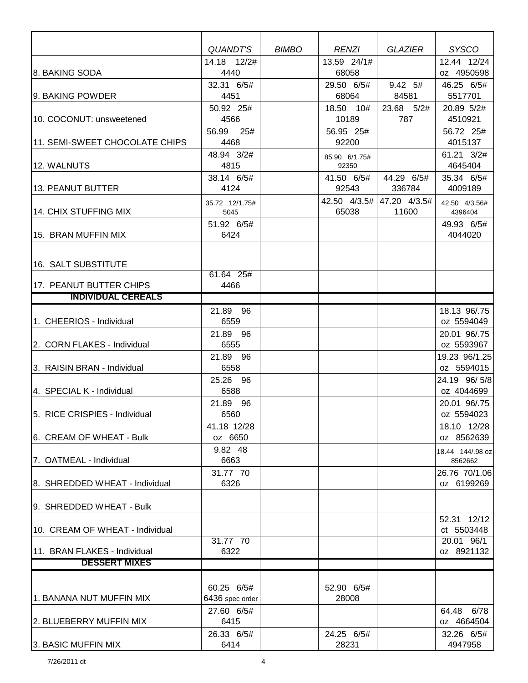|                                                      |                     |              |                      |                           | <b>SYSCO</b>                |
|------------------------------------------------------|---------------------|--------------|----------------------|---------------------------|-----------------------------|
|                                                      | QUANDT'S            | <b>BIMBO</b> | <b>RENZI</b>         | <b>GLAZIER</b>            |                             |
| 8. BAKING SODA                                       | 14.18 12/2#<br>4440 |              | 13.59 24/1#<br>68058 |                           | 12.44 12/24<br>oz 4950598   |
|                                                      | 32.31 6/5#          |              | 29.50 6/5#           | 9.42 5#                   | 46.25 6/5#                  |
| 9. BAKING POWDER                                     | 4451                |              | 68064                | 84581                     | 5517701                     |
|                                                      | 50.92 25#           |              | 18.50 10#            | 23.68 5/2#                | 20.89 5/2#                  |
| 10. COCONUT: unsweetened                             | 4566                |              | 10189                | 787                       | 4510921                     |
|                                                      | 56.99 25#           |              | 56.95 25#            |                           | 56.72 25#                   |
| 111. SEMI-SWEET CHOCOLATE CHIPS                      | 4468                |              | 92200                |                           | 4015137                     |
|                                                      | 48.94 3/2#          |              | 85.90 6/1.75#        |                           | 61.21 3/2#                  |
| 12. WALNUTS                                          | 4815                |              | 92350                |                           | 4645404                     |
|                                                      | 38.14 6/5#          |              | 41.50 6/5#           | 44.29 6/5#                | 35.34 6/5#                  |
| 13. PEANUT BUTTER                                    | 4124                |              | 92543                | 336784                    | 4009189                     |
|                                                      | 35.72 12/1.75#      |              |                      | 42.50 4/3.5# 47.20 4/3.5# | 42.50 4/3.56#               |
| 14. CHIX STUFFING MIX                                | 5045                |              | 65038                | 11600                     | 4396404                     |
| 15. BRAN MUFFIN MIX                                  | 51.92 6/5#<br>6424  |              |                      |                           | 49.93 6/5#<br>4044020       |
|                                                      |                     |              |                      |                           |                             |
|                                                      |                     |              |                      |                           |                             |
| 16. SALT SUBSTITUTE                                  |                     |              |                      |                           |                             |
|                                                      | 61.64 25#           |              |                      |                           |                             |
| 17. PEANUT BUTTER CHIPS<br><b>INDIVIDUAL CEREALS</b> | 4466                |              |                      |                           |                             |
|                                                      |                     |              |                      |                           |                             |
| 1. CHEERIOS - Individual                             | 21.89 96<br>6559    |              |                      |                           | 18.13 96/.75<br>oz 5594049  |
|                                                      | 21.89 96            |              |                      |                           | 20.01 96/.75                |
| 2. CORN FLAKES - Individual                          | 6555                |              |                      |                           | oz 5593967                  |
|                                                      | 21.89 96            |              |                      |                           | 19.23 96/1.25               |
| 3. RAISIN BRAN - Individual                          | 6558                |              |                      |                           | oz 5594015                  |
|                                                      | 25.26 96            |              |                      |                           | 24.19 96/5/8                |
| 4. SPECIAL K - Individual                            | 6588                |              |                      |                           | oz 4044699                  |
|                                                      | 21.89 96            |              |                      |                           | 20.01 96/.75                |
| 5. RICE CRISPIES - Individual                        | 6560                |              |                      |                           | oz 5594023                  |
|                                                      | 41.18 12/28         |              |                      |                           | 18.10 12/28                 |
| 6. CREAM OF WHEAT - Bulk                             | oz 6650             |              |                      |                           | oz 8562639                  |
|                                                      | 9.82 48             |              |                      |                           | 18.44 144/.98 oz            |
| 7. OATMEAL - Individual                              | 6663                |              |                      |                           | 8562662                     |
| 8. SHREDDED WHEAT - Individual                       | 31.77 70<br>6326    |              |                      |                           | 26.76 70/1.06<br>oz 6199269 |
|                                                      |                     |              |                      |                           |                             |
| 9. SHREDDED WHEAT - Bulk                             |                     |              |                      |                           |                             |
|                                                      |                     |              |                      |                           | 52.31 12/12                 |
| 10. CREAM OF WHEAT - Individual                      |                     |              |                      |                           | ct 5503448                  |
|                                                      | 31.77 70            |              |                      |                           | 20.01 96/1                  |
| 11. BRAN FLAKES - Individual                         | 6322                |              |                      |                           | oz 8921132                  |
| <b>DESSERT MIXES</b>                                 |                     |              |                      |                           |                             |
|                                                      |                     |              |                      |                           |                             |
|                                                      | 60.25 6/5#          |              | 52.90 6/5#           |                           |                             |
| l1. BANANA NUT MUFFIN MIX                            | 6436 spec order     |              | 28008                |                           |                             |
|                                                      | 27.60 6/5#          |              |                      |                           | 64.48 6/78                  |
| 2. BLUEBERRY MUFFIN MIX                              | 6415                |              |                      |                           | oz 4664504                  |
| 3. BASIC MUFFIN MIX                                  | 26.33 6/5#<br>6414  |              | 24.25 6/5#<br>28231  |                           | 32.26 6/5#<br>4947958       |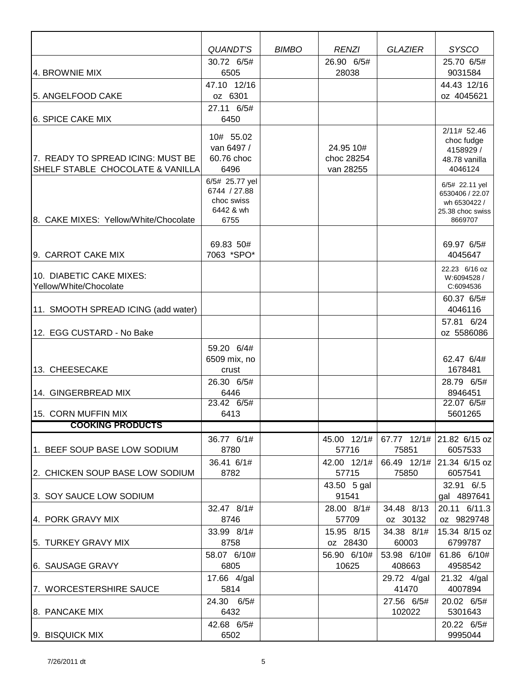|                                                                       | QUANDT'S                                                          | <b>BIMBO</b> | <b>RENZI</b>                         | <b>GLAZIER</b>         | <b>SYSCO</b>                                                                     |
|-----------------------------------------------------------------------|-------------------------------------------------------------------|--------------|--------------------------------------|------------------------|----------------------------------------------------------------------------------|
|                                                                       | 30.72 6/5#                                                        |              | 26.90 6/5#                           |                        | 25.70 6/5#                                                                       |
| 4. BROWNIE MIX                                                        | 6505                                                              |              | 28038                                |                        | 9031584                                                                          |
|                                                                       | 47.10 12/16                                                       |              |                                      |                        | 44.43 12/16                                                                      |
| 5. ANGELFOOD CAKE                                                     | oz 6301                                                           |              |                                      |                        | oz 4045621                                                                       |
| 6. SPICE CAKE MIX                                                     | 27.11 6/5#<br>6450                                                |              |                                      |                        | 2/11# 52.46                                                                      |
| 7. READY TO SPREAD ICING: MUST BE<br>SHELF STABLE CHOCOLATE & VANILLA | 10# 55.02<br>van 6497 /<br>60.76 choc<br>6496                     |              | 24.95 10#<br>choc 28254<br>van 28255 |                        | choc fudge<br>4158929 /<br>48.78 vanilla<br>4046124                              |
| 8. CAKE MIXES: Yellow/White/Chocolate                                 | 6/5# 25.77 yel<br>6744 / 27.88<br>choc swiss<br>6442 & wh<br>6755 |              |                                      |                        | 6/5# 22.11 yel<br>6530406 / 22.07<br>wh 6530422 /<br>25.38 choc swiss<br>8669707 |
| 9. CARROT CAKE MIX                                                    | 69.83 50#<br>7063 *SPO*                                           |              |                                      |                        | 69.97 6/5#<br>4045647                                                            |
|                                                                       |                                                                   |              |                                      |                        | 22.23 6/16 oz                                                                    |
| 10. DIABETIC CAKE MIXES:<br>Yellow/White/Chocolate                    |                                                                   |              |                                      |                        | W:6094528 /<br>C:6094536                                                         |
| 11. SMOOTH SPREAD ICING (add water)                                   |                                                                   |              |                                      |                        | 60.37 6/5#<br>4046116                                                            |
| 12. EGG CUSTARD - No Bake                                             |                                                                   |              |                                      |                        | 57.81 6/24<br>oz 5586086                                                         |
|                                                                       | 59.20 6/4#                                                        |              |                                      |                        |                                                                                  |
| 13. CHEESECAKE                                                        | 6509 mix, no                                                      |              |                                      |                        | 62.47 6/4#                                                                       |
|                                                                       | crust<br>26.30 6/5#                                               |              |                                      |                        | 1678481<br>28.79 6/5#                                                            |
| 14. GINGERBREAD MIX                                                   | 6446                                                              |              |                                      |                        | 8946451                                                                          |
|                                                                       | 23.42 6/5#                                                        |              |                                      |                        | 22.07 6/5#                                                                       |
| 115. CORN MUFFIN MIX                                                  | 6413                                                              |              |                                      |                        | 5601265                                                                          |
| <b>COOKING PRODUCTS</b>                                               |                                                                   |              |                                      |                        |                                                                                  |
| 1. BEEF SOUP BASE LOW SODIUM                                          | 36.77 6/1#<br>8780                                                |              | 45.00 12/1#<br>57716                 | 75851                  | 67.77 12/1# 21.82 6/15 oz<br>6057533                                             |
| 12. CHICKEN SOUP BASE LOW SODIUM                                      | 36.41 6/1#<br>8782                                                |              | 42.00 12/1#<br>57715                 | 66.49 12/1#<br>75850   | 21.34 6/15 oz<br>6057541                                                         |
|                                                                       |                                                                   |              | 43.50 5 gal                          |                        | 32.91 6/.5                                                                       |
| 3. SOY SAUCE LOW SODIUM                                               |                                                                   |              | 91541                                |                        | gal 4897641                                                                      |
| 4. PORK GRAVY MIX                                                     | 32.47 8/1#<br>8746                                                |              | 28.00 8/1#<br>57709                  | 34.48 8/13<br>oz 30132 | 20.11 6/11.3<br>oz 9829748                                                       |
| 5. TURKEY GRAVY MIX                                                   | 33.99 8/1#<br>8758                                                |              | 15.95 8/15<br>oz 28430               | 34.38 8/1#<br>60003    | 15.34 8/15 oz<br>6799787                                                         |
| 6. SAUSAGE GRAVY                                                      | 58.07 6/10#<br>6805                                               |              | 56.90 6/10#<br>10625                 | 53.98 6/10#<br>408663  | 61.86 6/10#<br>4958542                                                           |
| 7. WORCESTERSHIRE SAUCE                                               | 17.66 4/gal<br>5814                                               |              |                                      | 29.72 4/gal<br>41470   | 21.32 4/gal<br>4007894                                                           |
| 8. PANCAKE MIX                                                        | 24.30 6/5#<br>6432                                                |              |                                      | 27.56 6/5#<br>102022   | 20.02 6/5#<br>5301643                                                            |
| 9. BISQUICK MIX                                                       | 42.68 6/5#<br>6502                                                |              |                                      |                        | 20.22 6/5#<br>9995044                                                            |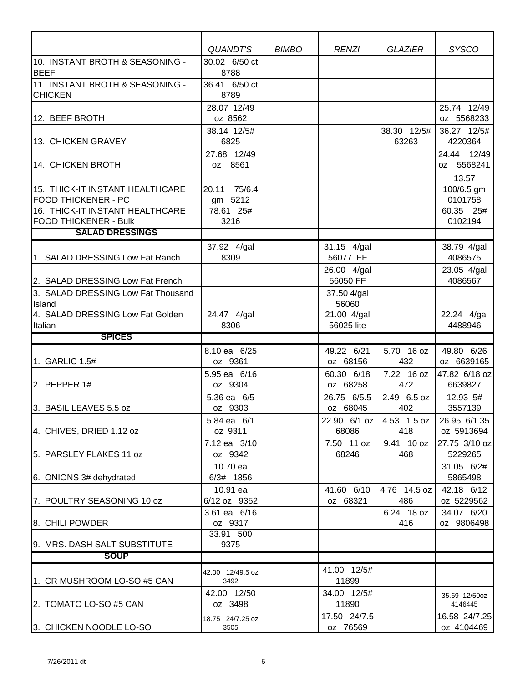|                                                        | QUANDT'S                | <b>BIMBO</b> | <b>RENZI</b>              | <b>GLAZIER</b>     | <b>SYSCO</b>              |
|--------------------------------------------------------|-------------------------|--------------|---------------------------|--------------------|---------------------------|
| 10. INSTANT BROTH & SEASONING -<br><b>BEEF</b>         | 30.02 6/50 ct<br>8788   |              |                           |                    |                           |
| 11. INSTANT BROTH & SEASONING -                        | 36.41 6/50 ct           |              |                           |                    |                           |
| <b>CHICKEN</b>                                         | 8789                    |              |                           |                    |                           |
| 12. BEEF BROTH                                         | 28.07 12/49<br>oz 8562  |              |                           |                    | 25.74 12/49<br>oz 5568233 |
|                                                        | 38.14 12/5#             |              |                           | 38.30 12/5#        | 36.27 12/5#               |
| 13. CHICKEN GRAVEY                                     | 6825                    |              |                           | 63263              | 4220364                   |
|                                                        | 27.68 12/49             |              |                           |                    | 24.44 12/49               |
| 14. CHICKEN BROTH                                      | oz 8561                 |              |                           |                    | oz 5568241<br>13.57       |
| 15. THICK-IT INSTANT HEALTHCARE                        | 20.11 75/6.4            |              |                           |                    | 100/6.5 gm                |
| <b>FOOD THICKENER - PC</b>                             | gm 5212                 |              |                           |                    | 0101758                   |
| 16. THICK-IT INSTANT HEALTHCARE                        | 78.61 25#               |              |                           |                    | $60.35$ 25#               |
| <b>FOOD THICKENER - Bulk</b><br><b>SALAD DRESSINGS</b> | 3216                    |              |                           |                    | 0102194                   |
|                                                        |                         |              | 31.15 4/gal               |                    |                           |
| 1. SALAD DRESSING Low Fat Ranch                        | 37.92 4/gal<br>8309     |              | 56077 FF                  |                    | 38.79 4/gal<br>4086575    |
| 2. SALAD DRESSING Low Fat French                       |                         |              | 26.00 4/gal<br>56050 FF   |                    | 23.05 4/gal<br>4086567    |
| 3. SALAD DRESSING Low Fat Thousand                     |                         |              | 37.50 4/gal               |                    |                           |
| Island                                                 |                         |              | 56060                     |                    |                           |
| 4. SALAD DRESSING Low Fat Golden<br>Italian            | 24.47 4/gal<br>8306     |              | 21.00 4/gal<br>56025 lite |                    | 22.24 4/gal<br>4488946    |
| <b>SPICES</b>                                          |                         |              |                           |                    |                           |
|                                                        | 8.10 ea 6/25            |              | 49.22 6/21                | 5.70 16 oz         | 49.80 6/26                |
| 1. GARLIC 1.5#                                         | oz 9361                 |              | oz 68156                  | 432                | oz 6639165                |
|                                                        | 5.95 ea 6/16            |              | 60.30 6/18                | 7.22 16 oz         | 47.82 6/18 oz             |
| 2. PEPPER $1#$                                         | oz 9304                 |              | oz 68258                  | 472                | 6639827                   |
| 3. BASIL LEAVES 5.5 oz                                 | 5.36 ea 6/5<br>oz 9303  |              | 26.75 6/5.5<br>oz 68045   | 2.49 6.5 oz<br>402 | 12.93 5#<br>3557139       |
|                                                        | 5.84 ea 6/1             |              | 22.90 6/1 oz              | 4.53 1.5 oz        | 26.95 6/1.35              |
| 4. CHIVES, DRIED 1.12 oz                               | oz 9311                 |              | 68086                     | 418                | oz 5913694                |
|                                                        | 7.12 ea 3/10            |              | 7.50 11 oz                | 9.41 10 oz         | 27.75 3/10 oz             |
| 5. PARSLEY FLAKES 11 oz                                | oz 9342                 |              | 68246                     | 468                | 5229265                   |
| 6. ONIONS 3# dehydrated                                | 10.70 ea<br>6/3# 1856   |              |                           |                    | 31.05 6/2#<br>5865498     |
|                                                        | 10.91 ea                |              | 41.60 6/10                | 4.76 14.5 oz       | 42.18 6/12                |
| 7. POULTRY SEASONING 10 oz                             | 6/12 oz 9352            |              | oz 68321                  | 486                | oz 5229562                |
| 8. CHILI POWDER                                        | 3.61 ea 6/16<br>oz 9317 |              |                           | 6.24 18 oz<br>416  | 34.07 6/20<br>oz 9806498  |
|                                                        | 33.91 500               |              |                           |                    |                           |
| 9. MRS. DASH SALT SUBSTITUTE                           | 9375                    |              |                           |                    |                           |
| <b>SOUP</b>                                            |                         |              |                           |                    |                           |
|                                                        | 42.00 12/49.5 oz        |              | 41.00 12/5#               |                    |                           |
| 1. CR MUSHROOM LO-SO #5 CAN                            | 3492                    |              | 11899                     |                    |                           |
| 2. TOMATO LO-SO #5 CAN                                 | 42.00 12/50<br>oz 3498  |              | 34.00 12/5#<br>11890      |                    | 35.69 12/50oz<br>4146445  |
|                                                        | 18.75 24/7.25 oz        |              | 17.50 24/7.5              |                    | 16.58 24/7.25             |
| 3. CHICKEN NOODLE LO-SO                                | 3505                    |              | oz 76569                  |                    | oz 4104469                |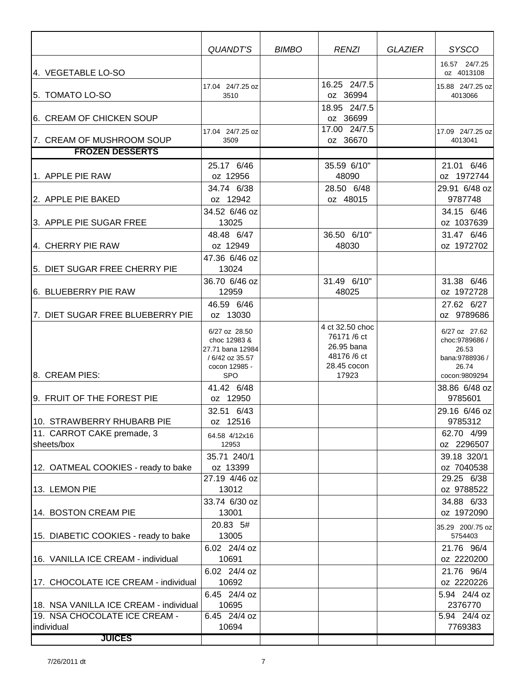|                                             | QUANDT'S                                                                                            | <b>BIMBO</b> | <b>RENZI</b>                                                                        | <b>GLAZIER</b> | <b>SYSCO</b>                                                                            |
|---------------------------------------------|-----------------------------------------------------------------------------------------------------|--------------|-------------------------------------------------------------------------------------|----------------|-----------------------------------------------------------------------------------------|
| 4. VEGETABLE LO-SO                          |                                                                                                     |              |                                                                                     |                | 16.57 24/7.25<br>oz 4013108                                                             |
| 5. TOMATO LO-SO                             | 17.04 24/7.25 oz<br>3510                                                                            |              | 16.25 24/7.5<br>oz 36994                                                            |                | 15.88 24/7.25 oz<br>4013066                                                             |
| 6. CREAM OF CHICKEN SOUP                    |                                                                                                     |              | 18.95 24/7.5<br>oz 36699                                                            |                |                                                                                         |
| 7. CREAM OF MUSHROOM SOUP                   | 17.04 24/7.25 oz<br>3509                                                                            |              | 17.00 24/7.5<br>oz 36670                                                            |                | 17.09 24/7.25 oz<br>4013041                                                             |
| <b>FROZEN DESSERTS</b>                      |                                                                                                     |              |                                                                                     |                |                                                                                         |
| 1. APPLE PIE RAW                            | 25.17 6/46<br>oz 12956                                                                              |              | 35.59 6/10"<br>48090                                                                |                | 21.01 6/46<br>oz 1972744                                                                |
| 2. APPLE PIE BAKED                          | 34.74 6/38<br>oz 12942                                                                              |              | 28.50 6/48<br>oz 48015                                                              |                | 29.91 6/48 oz<br>9787748                                                                |
| 3. APPLE PIE SUGAR FREE                     | 34.52 6/46 oz<br>13025                                                                              |              |                                                                                     |                | 34.15 6/46<br>oz 1037639                                                                |
| 4. CHERRY PIE RAW                           | 48.48 6/47<br>oz 12949                                                                              |              | 36.50 6/10"<br>48030                                                                |                | 31.47 6/46<br>oz 1972702                                                                |
| 5. DIET SUGAR FREE CHERRY PIE               | 47.36 6/46 oz<br>13024                                                                              |              |                                                                                     |                |                                                                                         |
| 6. BLUEBERRY PIE RAW                        | 36.70 6/46 oz<br>12959                                                                              |              | 31.49 6/10"<br>48025                                                                |                | 31.38 6/46<br>oz 1972728                                                                |
| 7. DIET SUGAR FREE BLUEBERRY PIE            | 46.59 6/46<br>oz 13030                                                                              |              |                                                                                     |                | 27.62 6/27<br>oz 9789686                                                                |
| 8. CREAM PIES:                              | 6/27 oz 28.50<br>choc 12983 &<br>27.71 bana 12984<br>/ 6/42 oz 35.57<br>cocon 12985 -<br><b>SPO</b> |              | 4 ct 32.50 choc<br>76171 /6 ct<br>26.95 bana<br>48176 /6 ct<br>28.45 cocon<br>17923 |                | 6/27 oz 27.62<br>choc: 9789686 /<br>26.53<br>bana: 9788936 /<br>26.74<br>cocon: 9809294 |
| 9. FRUIT OF THE FOREST PIE                  | 41.42 6/48<br>oz 12950                                                                              |              |                                                                                     |                | 38.86 6/48 oz<br>9785601                                                                |
| 10. STRAWBERRY RHUBARB PIE                  | 32.51 6/43<br>oz 12516                                                                              |              |                                                                                     |                | 29.16 6/46 oz<br>9785312                                                                |
| 11. CARROT CAKE premade, 3                  | 64.58 4/12x16                                                                                       |              |                                                                                     |                | 62.70 4/99                                                                              |
| sheets/box                                  | 12953<br>35.71 240/1                                                                                |              |                                                                                     |                | oz 2296507<br>39.18 320/1                                                               |
| 12. OATMEAL COOKIES - ready to bake         | oz 13399                                                                                            |              |                                                                                     |                | oz 7040538                                                                              |
| 13. LEMON PIE                               | 27.19 4/46 oz<br>13012                                                                              |              |                                                                                     |                | 29.25 6/38<br>oz 9788522                                                                |
| 14. BOSTON CREAM PIE                        | 33.74 6/30 oz<br>13001                                                                              |              |                                                                                     |                | 34.88 6/33<br>oz 1972090                                                                |
| 15. DIABETIC COOKIES - ready to bake        | 20.83 5#<br>13005                                                                                   |              |                                                                                     |                | 35.29 200/.75 oz<br>5754403                                                             |
| 16. VANILLA ICE CREAM - individual          | 6.02 24/4 oz<br>10691<br>6.02 24/4 oz                                                               |              |                                                                                     |                | 21.76 96/4<br>oz 2220200<br>21.76 96/4                                                  |
| 17. CHOCOLATE ICE CREAM - individual        | 10692<br>6.45 24/4 oz                                                                               |              |                                                                                     |                | oz 2220226<br>5.94 24/4 oz                                                              |
| 18. NSA VANILLA ICE CREAM - individual      | 10695                                                                                               |              |                                                                                     |                | 2376770                                                                                 |
| 19. NSA CHOCOLATE ICE CREAM -<br>individual | 6.45 24/4 oz<br>10694                                                                               |              |                                                                                     |                | 5.94 24/4 oz<br>7769383                                                                 |
| <b>JUICES</b>                               |                                                                                                     |              |                                                                                     |                |                                                                                         |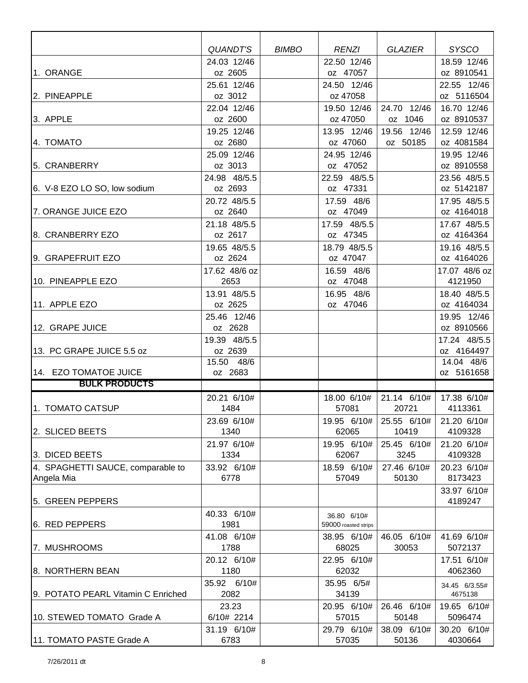|                                    | QUANDT'S                | <b>BIMBO</b> | <b>RENZI</b>             | <b>GLAZIER</b>          | <b>SYSCO</b>               |
|------------------------------------|-------------------------|--------------|--------------------------|-------------------------|----------------------------|
|                                    | 24.03 12/46             |              | 22.50 12/46              |                         | 18.59 12/46                |
| 1. ORANGE                          | oz 2605                 |              | oz 47057                 |                         | oz 8910541                 |
|                                    | 25.61 12/46             |              | 24.50 12/46              |                         | 22.55 12/46                |
| 2. PINEAPPLE                       | oz 3012                 |              | oz 47058                 |                         | oz 5116504                 |
|                                    | 22.04 12/46             |              | 19.50 12/46              | 24.70 12/46             | 16.70 12/46                |
| 3. APPLE                           | oz 2600                 |              | oz 47050                 | oz 1046                 | oz 8910537                 |
|                                    | 19.25 12/46             |              | 13.95 12/46              | 19.56 12/46             | 12.59 12/46                |
| 4. TOMATO                          | oz 2680                 |              | oz 47060                 | oz 50185                | oz 4081584                 |
|                                    | 25.09 12/46             |              | 24.95 12/46              |                         | 19.95 12/46                |
| 5. CRANBERRY                       | oz 3013                 |              | oz 47052                 |                         | oz 8910558                 |
|                                    | 24.98 48/5.5            |              | 22.59 48/5.5             |                         | 23.56 48/5.5               |
| 6. V-8 EZO LO SO, low sodium       | oz 2693                 |              | oz 47331                 |                         | oz 5142187                 |
| 7. ORANGE JUICE EZO                | 20.72 48/5.5<br>oz 2640 |              | 17.59 48/6<br>oz 47049   |                         | 17.95 48/5.5<br>oz 4164018 |
|                                    |                         |              |                          |                         |                            |
| 8. CRANBERRY EZO                   | 21.18 48/5.5<br>oz 2617 |              | 17.59 48/5.5<br>oz 47345 |                         | 17.67 48/5.5<br>oz 4164364 |
|                                    |                         |              |                          |                         |                            |
| 9. GRAPEFRUIT EZO                  | 19.65 48/5.5<br>oz 2624 |              | 18.79 48/5.5<br>oz 47047 |                         | 19.16 48/5.5<br>oz 4164026 |
|                                    |                         |              |                          |                         |                            |
| 10. PINEAPPLE EZO                  | 17.62 48/6 oz<br>2653   |              | 16.59 48/6<br>oz 47048   |                         | 17.07 48/6 oz<br>4121950   |
|                                    | 13.91 48/5.5            |              | 16.95 48/6               |                         | 18.40 48/5.5               |
| 11. APPLE EZO                      | oz 2625                 |              | oz 47046                 |                         | oz 4164034                 |
|                                    | 25.46 12/46             |              |                          |                         | 19.95 12/46                |
| 12. GRAPE JUICE                    | oz 2628                 |              |                          |                         | oz 8910566                 |
|                                    | 19.39 48/5.5            |              |                          |                         | 17.24 48/5.5               |
| 13. PC GRAPE JUICE 5.5 oz          | oz 2639                 |              |                          |                         | oz 4164497                 |
|                                    | 15.50 48/6              |              |                          |                         | 14.04 48/6                 |
| 14. EZO TOMATOE JUICE              | oz 2683                 |              |                          |                         | oz 5161658                 |
| <b>BULK PRODUCTS</b>               |                         |              |                          |                         |                            |
|                                    | 20.21 6/10#             |              | 18.00 6/10#              | 21.14 6/10#             | 17.38 6/10#                |
| 1. TOMATO CATSUP                   | 1484                    |              | 57081                    | 20721                   | 4113361                    |
|                                    | 23.69 6/10#             |              |                          | 19.95 6/10# 25.55 6/10# | 21.20 6/10#                |
| 2. SLICED BEETS                    | 1340                    |              | 62065                    | 10419                   | 4109328                    |
|                                    | 21.97 6/10#             |              | 19.95 6/10#              | 25.45 6/10#             | 21.20 6/10#                |
| 3. DICED BEETS                     | 1334                    |              | 62067                    | 3245                    | 4109328                    |
| 4. SPAGHETTI SAUCE, comparable to  | 33.92 6/10#             |              | 18.59 6/10#              | 27.46 6/10#             | 20.23 6/10#                |
| Angela Mia                         | 6778                    |              | 57049                    | 50130                   | 8173423                    |
|                                    |                         |              |                          |                         | 33.97 6/10#                |
| 5. GREEN PEPPERS                   |                         |              |                          |                         | 4189247                    |
|                                    | 40.33 6/10#             |              | 36.80 6/10#              |                         |                            |
| 6. RED PEPPERS                     | 1981                    |              | 59000 roasted strips     |                         |                            |
|                                    | 41.08 6/10#             |              | 38.95 6/10#              | 46.05 6/10#             | 41.69 6/10#                |
| 7. MUSHROOMS                       | 1788                    |              | 68025                    | 30053                   | 5072137                    |
|                                    | 20.12 6/10#             |              | 22.95 6/10#              |                         | 17.51 6/10#                |
| 8. NORTHERN BEAN                   | 1180                    |              | 62032                    |                         | 4062360                    |
|                                    | 35.92 6/10#             |              | 35.95 6/5#               |                         | 34.45 6/3.55#              |
| 9. POTATO PEARL Vitamin C Enriched | 2082                    |              | 34139                    |                         | 4675138                    |
|                                    | 23.23                   |              | 20.95 6/10#              | 26.46 6/10#             | 19.65 6/10#                |
| 10. STEWED TOMATO Grade A          | 6/10# 2214              |              | 57015                    | 50148                   | 5096474                    |
|                                    | 31.19 6/10#             |              | 29.79 6/10#              | 38.09 6/10#             | 30.20 6/10#                |
| 11. TOMATO PASTE Grade A           | 6783                    |              | 57035                    | 50136                   | 4030664                    |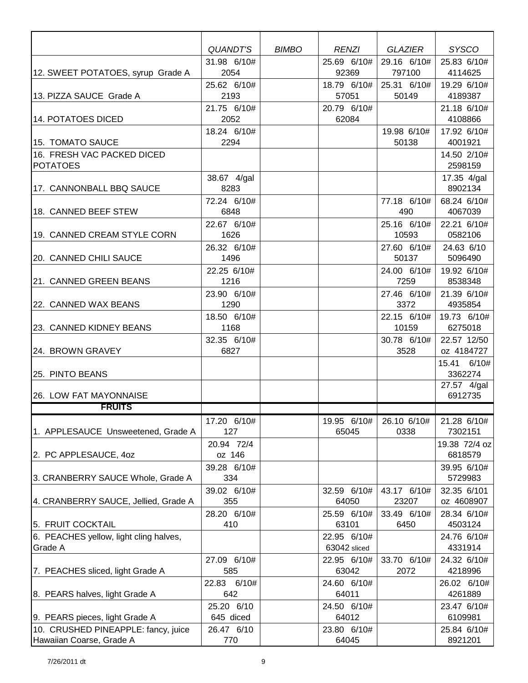|                                                   | <i>QUANDT'S</i>     | <b>BIMBO</b> | RENZI                       | GLAZIER               | <b>SYSCO</b>           |
|---------------------------------------------------|---------------------|--------------|-----------------------------|-----------------------|------------------------|
| 12. SWEET POTATOES, syrup Grade A                 | 31.98 6/10#<br>2054 |              | 25.69 6/10#<br>92369        | 29.16 6/10#<br>797100 | 25.83 6/10#<br>4114625 |
| 13. PIZZA SAUCE Grade A                           | 25.62 6/10#<br>2193 |              | 18.79 6/10#<br>57051        | 25.31 6/10#<br>50149  | 19.29 6/10#<br>4189387 |
|                                                   | 21.75 6/10#         |              | 20.79 6/10#                 |                       | 21.18 6/10#            |
| 14. POTATOES DICED                                | 2052                |              | 62084                       |                       | 4108866                |
|                                                   | 18.24 6/10#<br>2294 |              |                             | 19.98 6/10#<br>50138  | 17.92 6/10#            |
| 15. TOMATO SAUCE<br>16. FRESH VAC PACKED DICED    |                     |              |                             |                       | 4001921<br>14.50 2/10# |
| <b>POTATOES</b>                                   |                     |              |                             |                       | 2598159                |
|                                                   | 38.67 4/gal         |              |                             |                       | 17.35 4/gal            |
| 17. CANNONBALL BBQ SAUCE                          | 8283                |              |                             |                       | 8902134                |
| 18. CANNED BEEF STEW                              | 72.24 6/10#<br>6848 |              |                             | 77.18 6/10#<br>490    | 68.24 6/10#<br>4067039 |
|                                                   | 22.67 6/10#         |              |                             | 25.16 6/10#           | 22.21 6/10#            |
| 19. CANNED CREAM STYLE CORN                       | 1626                |              |                             | 10593                 | 0582106                |
|                                                   | 26.32 6/10#         |              |                             | 27.60 6/10#           | 24.63 6/10             |
| 20. CANNED CHILI SAUCE                            | 1496                |              |                             | 50137                 | 5096490                |
| 21. CANNED GREEN BEANS                            | 22.25 6/10#<br>1216 |              |                             | 24.00 6/10#<br>7259   | 19.92 6/10#<br>8538348 |
|                                                   | 23.90 6/10#         |              |                             | 27.46 6/10#           | 21.39 6/10#            |
| 22. CANNED WAX BEANS                              | 1290                |              |                             | 3372                  | 4935854                |
|                                                   | 18.50 6/10#         |              |                             | 22.15 6/10#           | 19.73 6/10#            |
| 23. CANNED KIDNEY BEANS                           | 1168                |              |                             | 10159                 | 6275018                |
|                                                   | 32.35 6/10#         |              |                             | 30.78 6/10#           | 22.57 12/50            |
| 24. BROWN GRAVEY                                  | 6827                |              |                             | 3528                  | oz 4184727             |
|                                                   |                     |              |                             |                       | 15.41 6/10#            |
| <b>25. PINTO BEANS</b>                            |                     |              |                             |                       | 3362274                |
| 26. LOW FAT MAYONNAISE                            |                     |              |                             |                       | 27.57 4/gal<br>6912735 |
| <b>FRUITS</b>                                     |                     |              |                             |                       |                        |
|                                                   | 17.20 6/10#         |              | 19.95 6/10#                 | 26.10 6/10#           | 21.28 6/10#            |
| 1. APPLESAUCE Unsweetened, Grade A                | 127                 |              | 65045                       | 0338                  | 7302151                |
|                                                   | 20.94 72/4          |              |                             |                       | 19.38 72/4 oz          |
| 2. PC APPLESAUCE, 40Z                             | oz 146              |              |                             |                       | 6818579                |
|                                                   | 39.28 6/10#         |              |                             |                       | 39.95 6/10#            |
| 3. CRANBERRY SAUCE Whole, Grade A                 | 334                 |              |                             |                       | 5729983                |
|                                                   | 39.02 6/10#         |              | 32.59 6/10#                 | 43.17 6/10#           | 32.35 6/101            |
| 4. CRANBERRY SAUCE, Jellied, Grade A              | 355                 |              | 64050                       | 23207                 | oz 4608907             |
|                                                   | 28.20 6/10#         |              | 25.59 6/10#                 | 33.49 6/10#           | 28.34 6/10#            |
| 5. FRUIT COCKTAIL                                 | 410                 |              | 63101                       | 6450                  | 4503124                |
| 6. PEACHES yellow, light cling halves,<br>Grade A |                     |              | 22.95 6/10#<br>63042 sliced |                       | 24.76 6/10#<br>4331914 |
|                                                   | 27.09 6/10#         |              | 22.95 6/10#                 | 33.70 6/10#           | 24.32 6/10#            |
| 7. PEACHES sliced, light Grade A                  | 585                 |              | 63042                       | 2072                  | 4218996                |
|                                                   | 22.83 6/10#         |              | 24.60 6/10#                 |                       | 26.02 6/10#            |
| 8. PEARS halves, light Grade A                    | 642                 |              | 64011                       |                       | 4261889                |
|                                                   | 25.20 6/10          |              | 24.50 6/10#                 |                       | 23.47 6/10#            |
| 9. PEARS pieces, light Grade A                    | 645 diced           |              | 64012                       |                       | 6109981                |
| 10. CRUSHED PINEAPPLE: fancy, juice               | 26.47 6/10          |              | 23.80 6/10#                 |                       | 25.84 6/10#            |
| Hawaiian Coarse, Grade A                          | 770                 |              | 64045                       |                       | 8921201                |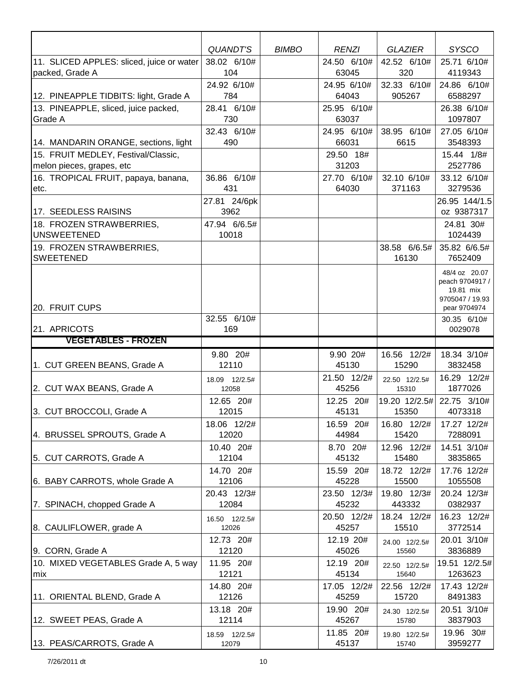|                                                | QUANDT'S               | <b>BIMBO</b> | <b>RENZI</b>         | <b>GLAZIER</b>         | <b>SYSCO</b>                 |
|------------------------------------------------|------------------------|--------------|----------------------|------------------------|------------------------------|
| 11. SLICED APPLES: sliced, juice or water      | 38.02 6/10#            |              | 24.50 6/10#          | 42.52 6/10#            | 25.71 6/10#                  |
| packed, Grade A                                | 104                    |              | 63045                | 320                    | 4119343                      |
|                                                | 24.92 6/10#            |              | 24.95 6/10#          | 32.33 6/10#            | 24.86 6/10#                  |
| 12. PINEAPPLE TIDBITS: light, Grade A          | 784                    |              | 64043                | 905267                 | 6588297                      |
| 13. PINEAPPLE, sliced, juice packed,           | 28.41 6/10#            |              | 25.95 6/10#          |                        | 26.38 6/10#                  |
| Grade A                                        | 730<br>32.43 6/10#     |              | 63037                |                        | 1097807                      |
| 14. MANDARIN ORANGE, sections, light           | 490                    |              | 24.95 6/10#<br>66031 | 38.95 6/10#<br>6615    | 27.05 6/10#<br>3548393       |
| 15. FRUIT MEDLEY, Festival/Classic,            |                        |              | 29.50 18#            |                        | 15.44 1/8#                   |
| melon pieces, grapes, etc                      |                        |              | 31203                |                        | 2527786                      |
| 16. TROPICAL FRUIT, papaya, banana,            | 36.86 6/10#            |              | 27.70 6/10#          | 32.10 6/10#            | 33.12 6/10#                  |
| etc.                                           | 431                    |              | 64030                | 371163                 | 3279536                      |
|                                                | 27.81 24/6pk           |              |                      |                        | 26.95 144/1.5                |
| 17. SEEDLESS RAISINS                           | 3962                   |              |                      |                        | oz 9387317                   |
| 18. FROZEN STRAWBERRIES,<br><b>UNSWEETENED</b> | 47.94 6/6.5#<br>10018  |              |                      |                        | 24.81 30#<br>1024439         |
| 19. FROZEN STRAWBERRIES,                       |                        |              |                      | 38.58 6/6.5#           | 35.82 6/6.5#                 |
| <b>SWEETENED</b>                               |                        |              |                      | 16130                  | 7652409                      |
|                                                |                        |              |                      |                        | 48/4 oz 20.07                |
|                                                |                        |              |                      |                        | peach 9704917 /<br>19.81 mix |
|                                                |                        |              |                      |                        | 9705047 / 19.93              |
| 20. FRUIT CUPS                                 |                        |              |                      |                        | pear 9704974                 |
| 21. APRICOTS                                   | 32.55 6/10#<br>169     |              |                      |                        | 30.35 6/10#<br>0029078       |
| <b>VEGETABLES - FROZEN</b>                     |                        |              |                      |                        |                              |
|                                                |                        |              |                      |                        |                              |
|                                                |                        |              |                      |                        |                              |
| 1. CUT GREEN BEANS, Grade A                    | 9.80 20#<br>12110      |              | 9.90 20#<br>45130    | 16.56 12/2#<br>15290   | 18.34 3/10#<br>3832458       |
|                                                | 18.09 12/2.5#          |              | 21.50 12/2#          | 22.50 12/2.5#          | 16.29 12/2#                  |
| 2. CUT WAX BEANS, Grade A                      | 12058                  |              | 45256                | 15310                  | 1877026                      |
|                                                | 12.65 20#              |              | 12.25 20#            | 19.20 12/2.5#          | 22.75 3/10#                  |
| 3. CUT BROCCOLI, Grade A                       | 12015                  |              | 45131                | 15350                  | 4073318                      |
|                                                | 18.06 12/2#            |              | 16.59 20#            | 16.80 12/2#            | 17.27 12/2#                  |
| 4. BRUSSEL SPROUTS, Grade A                    | 12020                  |              | 44984                | 15420                  | 7288091                      |
|                                                | 10.40 20#              |              | 8.70 20#             | 12.96 12/2#            | 14.51 3/10#                  |
| 5. CUT CARROTS, Grade A                        | 12104                  |              | 45132                | 15480                  | 3835865                      |
|                                                | 14.70 20#<br>12106     |              | 15.59 20#<br>45228   | 18.72 12/2#<br>15500   | 17.76 12/2#<br>1055508       |
| 6. BABY CARROTS, whole Grade A                 | 20.43 12/3#            |              | 23.50 12/3#          | 19.80 12/3#            | 20.24 12/3#                  |
| 7. SPINACH, chopped Grade A                    | 12084                  |              | 45232                | 443332                 | 0382937                      |
|                                                | 16.50 12/2.5#          |              | 20.50 12/2#          | 18.24 12/2#            | 16.23 12/2#                  |
|                                                | 12026                  |              | 45257                | 15510                  | 3772514                      |
| 8. CAULIFLOWER, grade A                        | 12.73 20#              |              | 12.19 20#            | 24.00 12/2.5#          | 20.01 3/10#                  |
| 9. CORN, Grade A                               | 12120                  |              | 45026                | 15560                  | 3836889                      |
| 10. MIXED VEGETABLES Grade A, 5 way<br>mix     | 11.95 20#<br>12121     |              | 12.19 20#<br>45134   | 22.50 12/2.5#<br>15640 | 19.51 12/2.5#<br>1263623     |
|                                                | 14.80 20#              |              | 17.05 12/2#          | 22.56 12/2#            | 17.43 12/2#                  |
| 11. ORIENTAL BLEND, Grade A                    | 12126                  |              | 45259                | 15720                  | 8491383                      |
|                                                | 13.18 20#              |              | 19.90 20#            | 24.30 12/2.5#          | 20.51 3/10#                  |
| 12. SWEET PEAS, Grade A                        | 12114                  |              | 45267                | 15780                  | 3837903                      |
| 13. PEAS/CARROTS, Grade A                      | 18.59 12/2.5#<br>12079 |              | 11.85 20#<br>45137   | 19.80 12/2.5#<br>15740 | 19.96 30#<br>3959277         |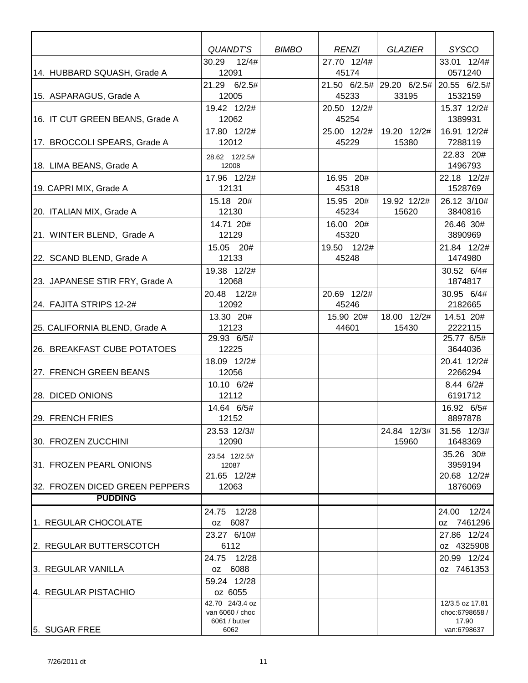|                                 | QUANDT'S                                            | <b>BIMBO</b> | <b>RENZI</b>            | GLAZIER               | <b>SYSCO</b>                               |
|---------------------------------|-----------------------------------------------------|--------------|-------------------------|-----------------------|--------------------------------------------|
|                                 | 30.29                                               |              |                         |                       |                                            |
| 14. HUBBARD SQUASH, Grade A     | 12/4#<br>12091                                      |              | 27.70 12/4#<br>45174    |                       | 33.01 12/4#<br>0571240                     |
| 15. ASPARAGUS, Grade A          | 21.29 6/2.5#<br>12005                               |              | $21.50$ 6/2.5#<br>45233 | 29.20 6/2.5#<br>33195 | 20.55 6/2.5#<br>1532159                    |
| 16. IT CUT GREEN BEANS, Grade A | 19.42 12/2#<br>12062                                |              | 20.50 12/2#<br>45254    |                       | 15.37 12/2#<br>1389931                     |
| 17. BROCCOLI SPEARS, Grade A    | 17.80 12/2#<br>12012                                |              | 25.00 12/2#<br>45229    | 19.20 12/2#<br>15380  | 16.91 12/2#<br>7288119                     |
| 18. LIMA BEANS, Grade A         | 28.62 12/2.5#<br>12008                              |              |                         |                       | 22.83 20#<br>1496793                       |
| 19. CAPRI MIX, Grade A          | 17.96 12/2#<br>12131                                |              | 16.95 20#<br>45318      |                       | 22.18 12/2#<br>1528769                     |
|                                 | 15.18 20#                                           |              | 15.95 20#               | 19.92 12/2#           | 26.12 3/10#                                |
| 20. ITALIAN MIX, Grade A        | 12130                                               |              | 45234                   | 15620                 | 3840816                                    |
| 21. WINTER BLEND, Grade A       | 14.71 20#<br>12129                                  |              | 16.00 20#<br>45320      |                       | 26.46 30#<br>3890969                       |
| 22. SCAND BLEND, Grade A        | 15.05 20#<br>12133                                  |              | 19.50 12/2#<br>45248    |                       | 21.84 12/2#<br>1474980                     |
| 23. JAPANESE STIR FRY, Grade A  | 19.38 12/2#<br>12068                                |              |                         |                       | 30.52 6/4#<br>1874817                      |
| 24. FAJITA STRIPS 12-2#         | 20.48 12/2#<br>12092                                |              | 20.69 12/2#<br>45246    |                       | 30.95 6/4#<br>2182665                      |
| 25. CALIFORNIA BLEND, Grade A   | 13.30 20#<br>12123                                  |              | 15.90 20#<br>44601      | 18.00 12/2#<br>15430  | 14.51 20#<br>2222115                       |
| 26. BREAKFAST CUBE POTATOES     | 29.93 6/5#<br>12225                                 |              |                         |                       | 25.77 6/5#<br>3644036                      |
| 27. FRENCH GREEN BEANS          | 18.09 12/2#<br>12056                                |              |                         |                       | 20.41 12/2#<br>2266294                     |
| 28. DICED ONIONS                | 10.10 6/2#<br>12112                                 |              |                         |                       | 8.44 6/2#<br>6191712                       |
| 29. FRENCH FRIES                | 14.64 6/5#<br>12152                                 |              |                         |                       | 16.92 6/5#<br>8897878                      |
| 30. FROZEN ZUCCHINI             | 23.53 12/3#<br>12090                                |              |                         | 24.84 12/3#<br>15960  | 31.56 12/3#<br>1648369                     |
| 31. FROZEN PEARL ONIONS         | 23.54 12/2.5#<br>12087                              |              |                         |                       | 35.26 30#<br>3959194                       |
| 32. FROZEN DICED GREEN PEPPERS  | 21.65 12/2#<br>12063                                |              |                         |                       | 20.68 12/2#<br>1876069                     |
| <b>PUDDING</b>                  |                                                     |              |                         |                       |                                            |
|                                 | 24.75 12/28                                         |              |                         |                       | 24.00 12/24                                |
| 1. REGULAR CHOCOLATE            | oz 6087                                             |              |                         |                       | oz 7461296                                 |
| 2. REGULAR BUTTERSCOTCH         | 23.27 6/10#<br>6112                                 |              |                         |                       | 27.86 12/24<br>oz 4325908                  |
| 3. REGULAR VANILLA              | 24.75 12/28<br>oz 6088                              |              |                         |                       | 20.99 12/24<br>oz 7461353                  |
| 4. REGULAR PISTACHIO            | 59.24 12/28<br>oz 6055                              |              |                         |                       |                                            |
|                                 | 42.70 24/3.4 oz<br>van 6060 / choc<br>6061 / butter |              |                         |                       | 12/3.5 oz 17.81<br>choc:6798658 /<br>17.90 |
| 5. SUGAR FREE                   | 6062                                                |              |                         |                       | van:6798637                                |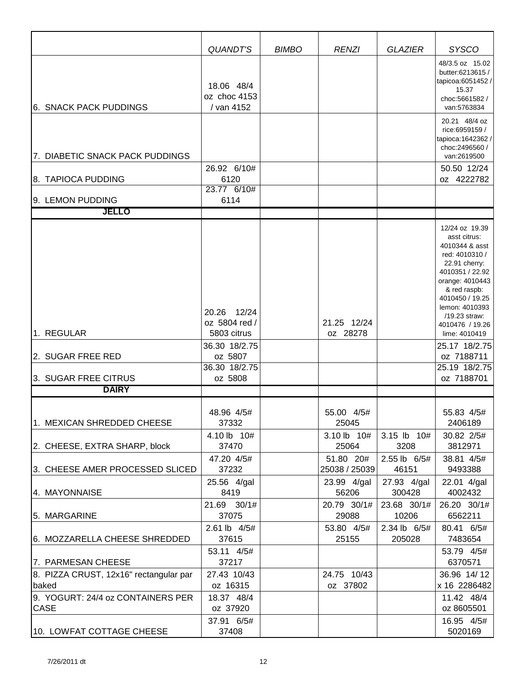|                                           | QUANDT'S                                 | <b>BIMBO</b> | <b>RENZI</b>                              | <b>GLAZIER</b>                       | <b>SYSCO</b>                                                                                                                                                                                                       |
|-------------------------------------------|------------------------------------------|--------------|-------------------------------------------|--------------------------------------|--------------------------------------------------------------------------------------------------------------------------------------------------------------------------------------------------------------------|
| <b>6. SNACK PACK PUDDINGS</b>             | 18.06 48/4<br>oz choc 4153<br>/ van 4152 |              |                                           |                                      | 48/3.5 oz 15.02<br>butter:6213615 /<br>tapicoa:6051452 /<br>15.37<br>choc:5661582/<br>van:5763834                                                                                                                  |
| 7. DIABETIC SNACK PACK PUDDINGS           |                                          |              |                                           |                                      | 20.21 48/4 oz<br>rice:6959159 /<br>tapioca: 1642362 /<br>choc: 2496560 /<br>van:2619500                                                                                                                            |
| 8. TAPIOCA PUDDING                        | 26.92 6/10#<br>6120                      |              |                                           |                                      | 50.50 12/24<br>oz 4222782                                                                                                                                                                                          |
| 9. LEMON PUDDING                          | 23.77 6/10#<br>6114                      |              |                                           |                                      |                                                                                                                                                                                                                    |
| JELLO                                     |                                          |              |                                           |                                      |                                                                                                                                                                                                                    |
|                                           | 20.26 12/24<br>oz 5804 red /             |              | 21.25 12/24                               |                                      | 12/24 oz 19.39<br>asst citrus:<br>4010344 & asst<br>red: 4010310 /<br>22.91 cherry:<br>4010351 / 22.92<br>orange: 4010443<br>& red raspb:<br>4010450 / 19.25<br>lemon: 4010393<br>/19.23 straw:<br>4010476 / 19.26 |
| 1. REGULAR                                | 5803 citrus                              |              | oz 28278                                  |                                      | lime: 4010419                                                                                                                                                                                                      |
| 2. SUGAR FREE RED                         | 36.30 18/2.75<br>oz 5807                 |              |                                           |                                      | 25.17 18/2.75<br>oz 7188711                                                                                                                                                                                        |
| 3. SUGAR FREE CITRUS                      | 36.30 18/2.75<br>oz 5808                 |              |                                           |                                      | 25.19 18/2.75<br>oz 7188701                                                                                                                                                                                        |
| <b>DAIRY</b>                              |                                          |              |                                           |                                      |                                                                                                                                                                                                                    |
|                                           |                                          |              |                                           |                                      |                                                                                                                                                                                                                    |
| 1. MEXICAN SHREDDED CHEESE                | 48.96 4/5#<br>37332                      |              | 55.00 4/5#<br>25045                       |                                      | 55.83 4/5#<br>2406189                                                                                                                                                                                              |
| 2. CHEESE, EXTRA SHARP, block             | 4.10 lb 10#<br>37470                     |              | 3.10 lb 10#<br>25064                      | 3.15 lb 10#<br>3208                  | 30.82 2/5#<br>3812971                                                                                                                                                                                              |
| 3. CHEESE AMER PROCESSED SLICED           | 47.20 4/5#<br>37232<br>25.56 4/gal       |              | 51.80 20#<br>25038 / 25039<br>23.99 4/gal | 2.55 lb 6/5#<br>46151<br>27.93 4/gal | 38.81 4/5#<br>9493388<br>22.01 4/gal                                                                                                                                                                               |
| 4. MAYONNAISE                             | 8419                                     |              | 56206                                     | 300428                               | 4002432                                                                                                                                                                                                            |
| 5. MARGARINE                              | 21.69 30/1#<br>37075                     |              | 20.79 30/1#<br>29088                      | 23.68 30/1#<br>10206                 | 26.20 30/1#<br>6562211                                                                                                                                                                                             |
| 6. MOZZARELLA CHEESE SHREDDED             | 2.61 lb 4/5#<br>37615                    |              | 53.80 4/5#<br>25155                       | 2.34 lb 6/5#<br>205028               | 80.41 6/5#<br>7483654                                                                                                                                                                                              |
| 7. PARMESAN CHEESE                        | 53.11 4/5#<br>37217                      |              |                                           |                                      | 53.79 4/5#<br>6370571                                                                                                                                                                                              |
| 8. PIZZA CRUST, 12x16" rectangular par    | 27.43 10/43                              |              | 24.75 10/43                               |                                      | 36.96 14/12                                                                                                                                                                                                        |
| baked                                     | oz 16315                                 |              | oz 37802                                  |                                      | x 16 2286482                                                                                                                                                                                                       |
| 9. YOGURT: 24/4 oz CONTAINERS PER<br>CASE | 18.37 48/4<br>oz 37920                   |              |                                           |                                      | 11.42 48/4<br>oz 8605501                                                                                                                                                                                           |
| 10. LOWFAT COTTAGE CHEESE                 | 37.91 6/5#<br>37408                      |              |                                           |                                      | 16.95 4/5#<br>5020169                                                                                                                                                                                              |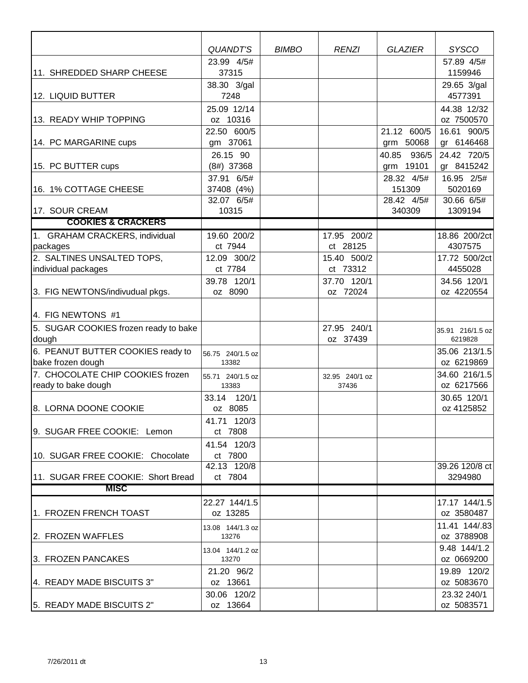|                                        | <b>QUANDT'S</b>        | <b>BIMBO</b> | <b>RENZI</b>            | <b>GLAZIER</b>       | <b>SYSCO</b>             |
|----------------------------------------|------------------------|--------------|-------------------------|----------------------|--------------------------|
|                                        | 23.99 4/5#             |              |                         |                      | 57.89 4/5#               |
| 11. SHREDDED SHARP CHEESE              | 37315                  |              |                         |                      | 1159946                  |
|                                        | 38.30 3/gal            |              |                         |                      | 29.65 3/gal              |
| 12. LIQUID BUTTER                      | 7248                   |              |                         |                      | 4577391                  |
|                                        | 25.09 12/14            |              |                         |                      | 44.38 12/32              |
| 13. READY WHIP TOPPING                 | oz 10316               |              |                         |                      | oz 7500570               |
|                                        | 22.50 600/5            |              |                         | 21.12 600/5          | 16.61 900/5              |
| 14. PC MARGARINE cups                  | gm 37061               |              |                         | grm 50068            | gr 6146468               |
|                                        | 26.15 90               |              |                         | 40.85 936/5          | 24.42 720/5              |
| 15. PC BUTTER cups                     | $(8#)$ 37368           |              |                         | grm 19101            | gr 8415242               |
|                                        | 37.91 6/5#             |              |                         | 28.32 4/5#           | 16.95 2/5#               |
| 16. 1% COTTAGE CHEESE                  | 37408 (4%)             |              |                         | 151309               | 5020169                  |
| 17. SOUR CREAM                         | 32.07 6/5#<br>10315    |              |                         | 28.42 4/5#<br>340309 | 30.66 6/5#<br>1309194    |
| <b>COOKIES &amp; CRACKERS</b>          |                        |              |                         |                      |                          |
|                                        |                        |              |                         |                      |                          |
| 1. GRAHAM CRACKERS, individual         | 19.60 200/2<br>ct 7944 |              | 17.95 200/2<br>ct 28125 |                      | 18.86 200/2ct<br>4307575 |
| packages<br>2. SALTINES UNSALTED TOPS, | 12.09 300/2            |              | 15.40 500/2             |                      | 17.72 500/2ct            |
| individual packages                    | ct 7784                |              | ct 73312                |                      | 4455028                  |
|                                        | 39.78 120/1            |              | 37.70 120/1             |                      | 34.56 120/1              |
| 3. FIG NEWTONS/indivudual pkgs.        | oz 8090                |              | oz 72024                |                      | oz 4220554               |
|                                        |                        |              |                         |                      |                          |
| 4. FIG NEWTONS #1                      |                        |              |                         |                      |                          |
| 5. SUGAR COOKIES frozen ready to bake  |                        |              | 27.95 240/1             |                      | 35.91 216/1.5 oz         |
| dough                                  |                        |              | oz 37439                |                      | 6219828                  |
| 6. PEANUT BUTTER COOKIES ready to      | 56.75 240/1.5 oz       |              |                         |                      | 35.06 213/1.5            |
| bake frozen dough                      | 13382                  |              |                         |                      | oz 6219869               |
| 7. CHOCOLATE CHIP COOKIES frozen       | 55.71 240/1.5 oz       |              | 32.95 240/1 oz          |                      | 34.60 216/1.5            |
| ready to bake dough                    | 13383                  |              | 37436                   |                      | oz 6217566               |
|                                        | 33.14 120/1            |              |                         |                      | 30.65 120/1              |
| 8. LORNA DOONE COOKIE                  | oz 8085                |              |                         |                      | oz 4125852               |
|                                        | 41.71 120/3            |              |                         |                      |                          |
| 9. SUGAR FREE COOKIE: Lemon            | ct 7808                |              |                         |                      |                          |
|                                        | 41.54 120/3            |              |                         |                      |                          |
| 10. SUGAR FREE COOKIE: Chocolate       | ct 7800                |              |                         |                      |                          |
|                                        | 42.13 120/8            |              |                         |                      | 39.26 120/8 ct           |
| 11. SUGAR FREE COOKIE: Short Bread     | ct 7804                |              |                         |                      | 3294980                  |
| <b>MISC</b>                            |                        |              |                         |                      |                          |
|                                        | 22.27 144/1.5          |              |                         |                      | 17.17 144/1.5            |
| 1. FROZEN FRENCH TOAST                 | oz 13285               |              |                         |                      | oz 3580487               |
|                                        | 13.08 144/1.3 oz       |              |                         |                      | 11.41 144/.83            |
| 2. FROZEN WAFFLES                      | 13276                  |              |                         |                      | oz 3788908               |
|                                        | 13.04 144/1.2 oz       |              |                         |                      | 9.48 144/1.2             |
| 3. FROZEN PANCAKES                     | 13270                  |              |                         |                      | oz 0669200               |
|                                        | 21.20 96/2             |              |                         |                      | 19.89 120/2              |
| 4. READY MADE BISCUITS 3"              | oz 13661               |              |                         |                      | oz 5083670               |
|                                        | 30.06 120/2            |              |                         |                      | 23.32 240/1              |
| 5. READY MADE BISCUITS 2"              | oz 13664               |              |                         |                      | oz 5083571               |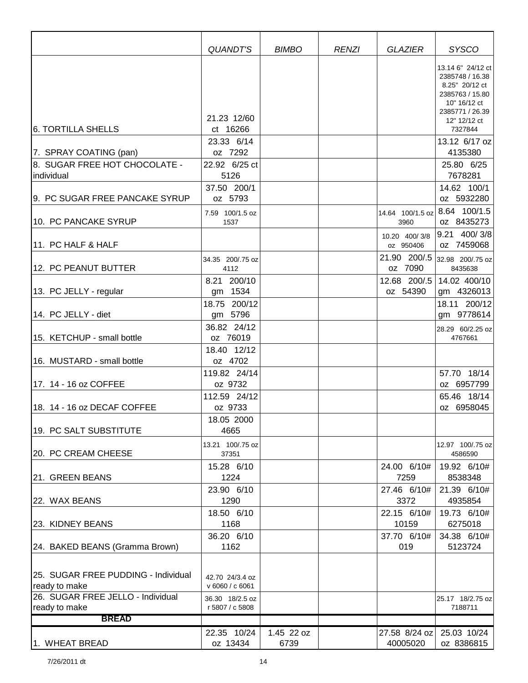|                                                      | QUANDT'S                               | <b>BIMBO</b>       | <b>RENZI</b> | <b>GLAZIER</b>                     | <b>SYSCO</b>                                                                                                 |
|------------------------------------------------------|----------------------------------------|--------------------|--------------|------------------------------------|--------------------------------------------------------------------------------------------------------------|
|                                                      |                                        |                    |              |                                    | 13.14 6" 24/12 ct<br>2385748 / 16.38<br>8.25" 20/12 ct<br>2385763 / 15.80<br>10" 16/12 ct<br>2385771 / 26.39 |
| 6. TORTILLA SHELLS                                   | 21.23 12/60<br>ct 16266<br>23.33 6/14  |                    |              |                                    | 12" 12/12 ct<br>7327844<br>13.12 6/17 oz                                                                     |
| 7. SPRAY COATING (pan)                               | oz 7292                                |                    |              |                                    | 4135380                                                                                                      |
| 8. SUGAR FREE HOT CHOCOLATE -<br>individual          | 22.92 6/25 ct<br>5126                  |                    |              |                                    | 25.80 6/25<br>7678281                                                                                        |
| 9. PC SUGAR FREE PANCAKE SYRUP                       | 37.50 200/1<br>oz 5793                 |                    |              |                                    | 14.62 100/1<br>oz 5932280                                                                                    |
| 10. PC PANCAKE SYRUP                                 | 7.59 100/1.5 oz<br>1537                |                    |              | 14.64 100/1.5 oz<br>3960           | 8.64 100/1.5<br>oz 8435273                                                                                   |
| 11. PC HALF & HALF                                   |                                        |                    |              | 10.20 400/3/8<br>oz 950406         | 9.21 400/3/8<br>oz 7459068                                                                                   |
| 12. PC PEANUT BUTTER                                 | 34.35 200/.75 oz<br>4112               |                    |              | 21.90 200/.5<br>oz 7090            | 32.98 200/.75 oz<br>8435638                                                                                  |
| 13. PC JELLY - regular                               | 8.21 200/10<br>gm 1534                 |                    |              | 12.68 200/.5<br>oz 54390           | 14.02 400/10<br>gm 4326013                                                                                   |
| 14. PC JELLY - diet                                  | 18.75 200/12<br>gm 5796                |                    |              |                                    | 18.11 200/12<br>gm 9778614                                                                                   |
| 15. KETCHUP - small bottle                           | 36.82 24/12<br>oz 76019<br>18.40 12/12 |                    |              |                                    | 28.29 60/2.25 oz<br>4767661                                                                                  |
| 16. MUSTARD - small bottle                           | oz 4702                                |                    |              |                                    |                                                                                                              |
| 17. 14 - 16 oz COFFEE                                | 119.82 24/14<br>oz 9732                |                    |              |                                    | 57.70 18/14<br>oz 6957799                                                                                    |
| 18. 14 - 16 oz DECAF COFFEE                          | 112.59 24/12<br>oz 9733                |                    |              |                                    | 65.46 18/14<br>oz 6958045                                                                                    |
| 19. PC SALT SUBSTITUTE                               | 18.05 2000<br>4665                     |                    |              |                                    |                                                                                                              |
| 20. PC CREAM CHEESE                                  | 13.21 100/.75 oz<br>37351              |                    |              |                                    | 12.97 100/.75 oz<br>4586590                                                                                  |
| 21. GREEN BEANS                                      | 15.28 6/10<br>1224                     |                    |              | 24.00 6/10#<br>7259                | 19.92 6/10#<br>8538348                                                                                       |
| 22. WAX BEANS                                        | 23.90 6/10<br>1290<br>18.50 6/10       |                    |              | 27.46 6/10#<br>3372<br>22.15 6/10# | 21.39 6/10#<br>4935854<br>19.73 6/10#                                                                        |
| 23. KIDNEY BEANS                                     | 1168                                   |                    |              | 10159                              | 6275018                                                                                                      |
| 24. BAKED BEANS (Gramma Brown)                       | 36.20 6/10<br>1162                     |                    |              | 37.70 6/10#<br>019                 | 34.38 6/10#<br>5123724                                                                                       |
| 25. SUGAR FREE PUDDING - Individual<br>ready to make | 42.70 24/3.4 oz<br>v 6060 / c 6061     |                    |              |                                    |                                                                                                              |
| 26. SUGAR FREE JELLO - Individual<br>ready to make   | 36.30 18/2.5 oz<br>r 5807 / c 5808     |                    |              |                                    | 25.17 18/2.75 oz<br>7188711                                                                                  |
| <b>BREAD</b>                                         |                                        |                    |              |                                    |                                                                                                              |
| 1. WHEAT BREAD                                       | 22.35 10/24<br>oz 13434                | 1.45 22 oz<br>6739 |              | 27.58 8/24 oz<br>40005020          | 25.03 10/24<br>oz 8386815                                                                                    |